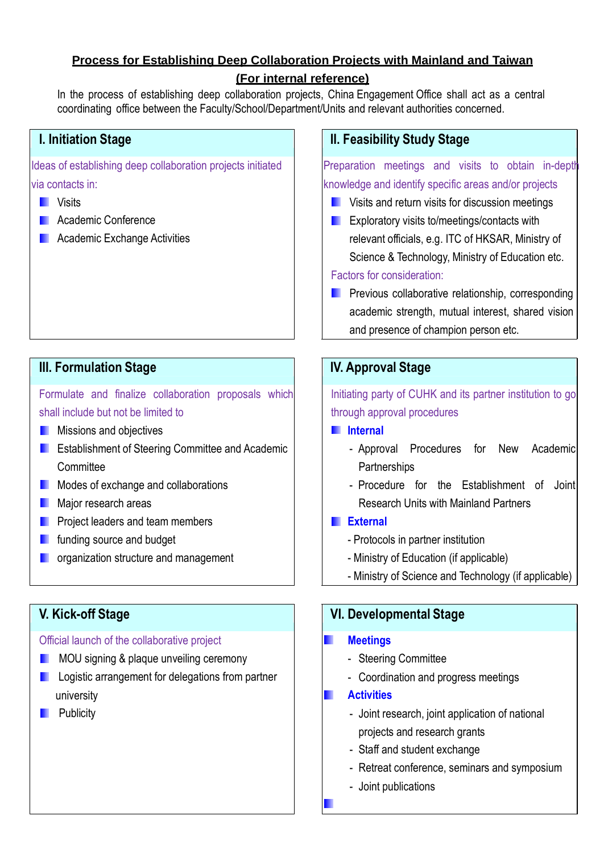# **Process for Establishing Deep Collaboration Projects with Mainland and Taiwan**

### **(For internal reference)**

In the process of establishing deep collaboration projects, China Engagement Office shall act as a central coordinating office between the Faculty/School/Department/Units and relevant authorities concerned.

Ideas of establishing deep collaboration projects initiated via contacts in:

- Visits **The Second Second**
- **Academic Conference**
- **Academic Exchange Activities**

# **III. Formulation Stage IV. Approval Stage**

Formulate and finalize collaboration proposals which shall include but not be limited to

- Missions and objectives  $\blacksquare$
- **E** Establishment of Steering Committee and Academic **Committee**
- **Modes of exchange and collaborations**
- Major research areas
- Project leaders and team members **The Second**
- funding source and budget **The Second**
- **n** organization structure and management

### Official launch of the collaborative project

- **MOU** signing & plaque unveiling ceremony
- **L** Logistic arrangement for delegations from partner university
- **Publicity**

# **I. Initiation Stage II. Feasibility Study Stage**

Preparation meetings and visits to obtain in-depth knowledge and identify specific areas and/or projects

- **Now Sylvicia** Visits and return visits for discussion meetings
- **EXploratory visits to/meetings/contacts with** relevant officials, e.g. ITC of HKSAR, Ministry of Science & Technology, Ministry of Education etc. Factors for consideration:
- **Previous collaborative relationship, corresponding** academic strength, mutual interest, shared vision and presence of champion person etc.

Initiating party of CUHK and its partner institution to go through approval procedures

- **Internal**
	- Approval Procedures for New Academic **Partnerships**
	- Procedure for the Establishment of Joint Research Units with Mainland Partners

## **External**

- Protocols in partner institution
- Ministry of Education (if applicable)
- Ministry of Science and Technology (if applicable)

# **V. Kick-off Stage VI. Developmental Stage**

### **Meetings**

- Steering Committee
- Coordination and progress meetings

### **Activities** п

- Joint research, joint application of national projects and research grants
- Staff and student exchange
- Retreat conference, seminars and symposium
- Joint publications